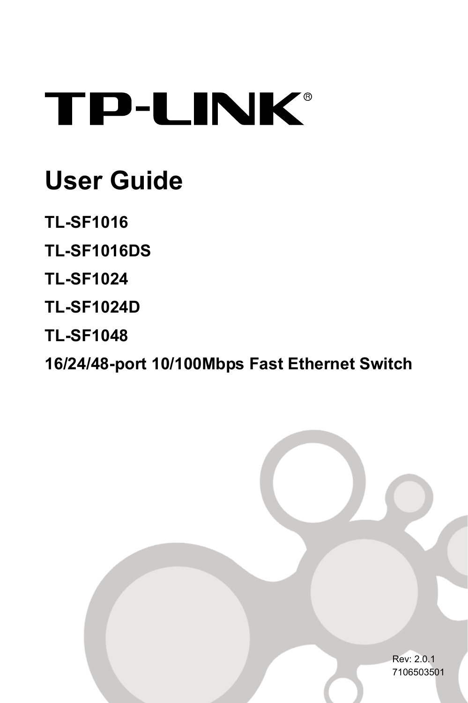# **TP-LINK®**

## **User Guide**

- **TL-SF1016**
- **TL-SF1016DS**
- **TL-SF1024**
- **TL-SF1024D**
- **TL-SF1048**

**16/24/48-port 10/100Mbps Fast Ethernet Switch**

Rev: 2.0.1 7106503501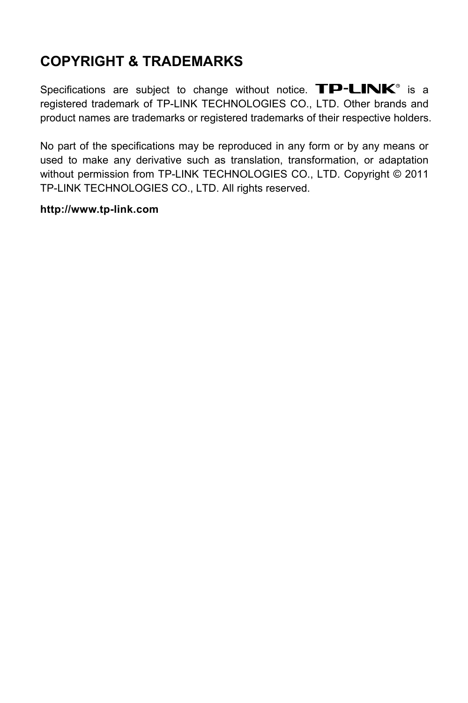#### **COPYRIGHT & TRADEMARKS**

Specifications are subject to change without notice.  $\mathbf{TP}\text{-}\mathbf{LINK}^{\circ}$  is a registered trademark of TP-LINK TECHNOLOGIES CO., LTD. Other brands and product names are trademarks or registered trademarks of their respective holders.

No part of the specifications may be reproduced in any form or by any means or used to make any derivative such as translation, transformation, or adaptation without permission from TP-LINK TECHNOLOGIES CO., LTD. Copyright © 2011 TP-LINK TECHNOLOGIES CO., LTD. All rights reserved.

#### **http://www.tp-link.com**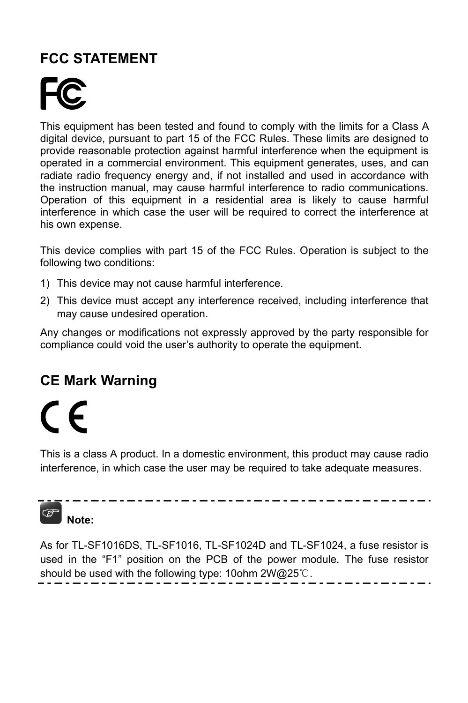#### **FCC STATEMENT**

This equipment has been tested and found to comply with the limits for a Class A digital device, pursuant to part 15 of the FCC Rules. These limits are designed to provide reasonable protection against harmful interference when the equipment is operated in a commercial environment. This equipment generates, uses, and can radiate radio frequency energy and, if not installed and used in accordance with the instruction manual, may cause harmful interference to radio communications. Operation of this equipment in a residential area is likely to cause harmful interference in which case the user will be required to correct the interference at his own expense.

This device complies with part 15 of the FCC Rules. Operation is subject to the following two conditions:

- 1) This device may not cause harmful interference.
- 2) This device must accept any interference received, including interference that may cause undesired operation.

Any changes or modifications not expressly approved by the party responsible for compliance could void the user's authority to operate the equipment.

#### **CE Mark Warning**

## $\epsilon$

This is a class A product. In a domestic environment, this product may cause radio interference, in which case the user may be required to take adequate measures.

## **Note:**

As for TL-SF1016DS, TL-SF1016, TL-SF1024D and TL-SF1024, a fuse resistor is used in the "F1" position on the PCB of the power module. The fuse resistor should be used with the following type: 10ohm 2W@25℃.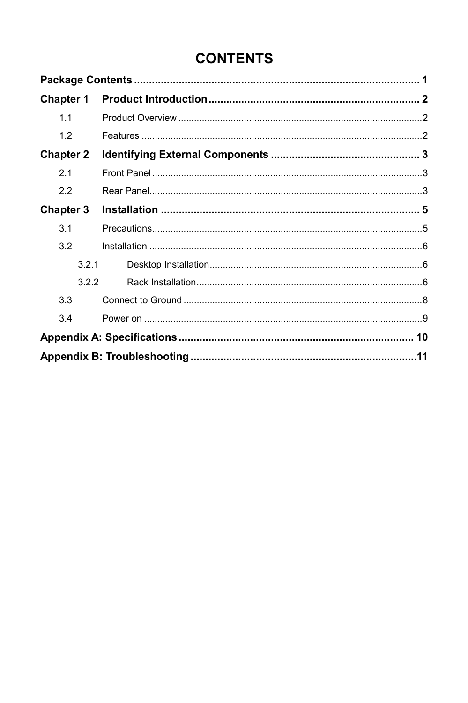#### **CONTENTS**

| <b>Chapter 1</b> |  |
|------------------|--|
| 1.1              |  |
| 1.2              |  |
| <b>Chapter 2</b> |  |
| 21               |  |
| 2.2              |  |
| <b>Chapter 3</b> |  |
| 3.1              |  |
| 3.2              |  |
| 321              |  |
| 322              |  |
| 3.3              |  |
| 3.4              |  |
|                  |  |
|                  |  |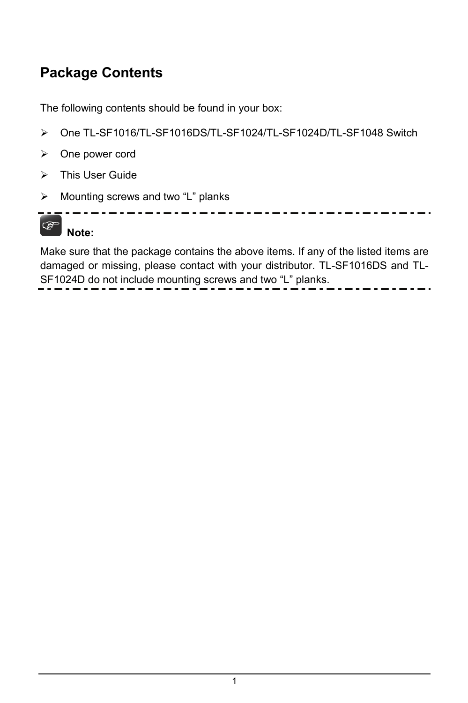#### <span id="page-4-1"></span><span id="page-4-0"></span>**Package Contents**

The following contents should be found in your box:

- ¾ One TL-SF1016/TL-SF1016DS/TL-SF1024/TL-SF1024D/TL-SF1048 Switch
- ¾ One power cord
- $\triangleright$  This User Guide
- ¾ Mounting screws and two "L" planks



Make sure that the package contains the above items. If any of the listed items are damaged or missing, please contact with your distributor. TL-SF1016DS and TL-SF1024D do not include mounting screws and two "L" planks.  $\sim$   $\sim$   $\sim$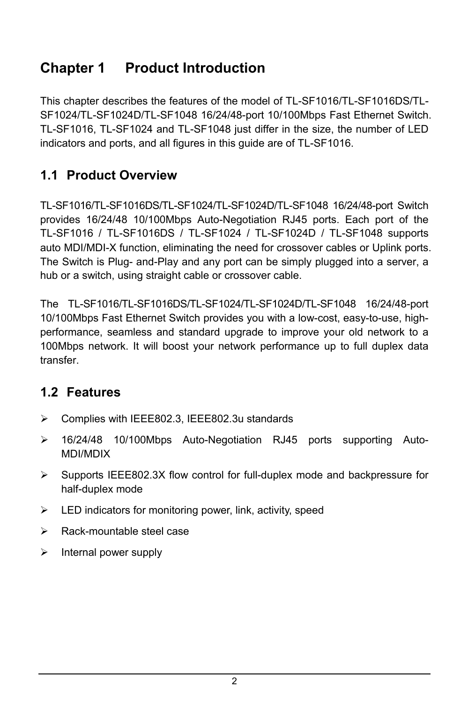#### <span id="page-5-1"></span><span id="page-5-0"></span>**Chapter 1 Product Introduction**

This chapter describes the features of the model of TL-SF1016/TL-SF1016DS/TL-SF1024/TL-SF1024D/TL-SF1048 16/24/48-port 10/100Mbps Fast Ethernet Switch. TL-SF1016, TL-SF1024 and TL-SF1048 just differ in the size, the number of LED indicators and ports, and all figures in this guide are of TL-SF1016.

#### <span id="page-5-2"></span>**1.1 Product Overview**

TL-SF1016/TL-SF1016DS/TL-SF1024/TL-SF1024D/TL-SF1048 16/24/48-port Switch provides 16/24/48 10/100Mbps Auto-Negotiation RJ45 ports. Each port of the TL-SF1016 / TL-SF1016DS / TL-SF1024 / TL-SF1024D / TL-SF1048 supports auto MDI/MDI-X function, eliminating the need for crossover cables or Uplink ports. The Switch is Plug- and-Play and any port can be simply plugged into a server, a hub or a switch, using straight cable or crossover cable.

The TL-SF1016/TL-SF1016DS/TL-SF1024/TL-SF1024D/TL-SF1048 16/24/48-port 10/100Mbps Fast Ethernet Switch provides you with a low-cost, easy-to-use, highperformance, seamless and standard upgrade to improve your old network to a 100Mbps network. It will boost your network performance up to full duplex data transfer.

#### <span id="page-5-3"></span>**1.2 Features**

- ¾ Complies with IEEE802.3, IEEE802.3u standards
- ¾ 16/24/48 10/100Mbps Auto-Negotiation RJ45 ports supporting Auto-MDI/MDIX
- $\triangleright$  Supports IEEE802.3X flow control for full-duplex mode and backpressure for half-duplex mode
- $\blacktriangleright$  LED indicators for monitoring power, link, activity, speed
- $\triangleright$  Rack-mountable steel case
- $\triangleright$  Internal power supply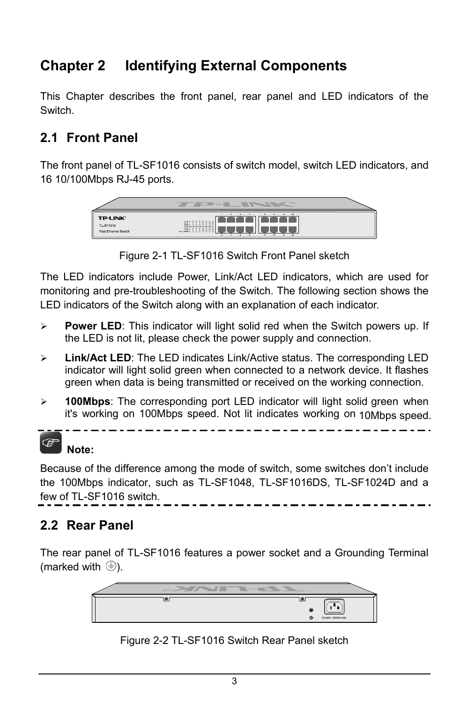#### <span id="page-6-1"></span><span id="page-6-0"></span>**Chapter 2 Identifying External Components**

This Chapter describes the front panel, rear panel and LED indicators of the **Switch** 

#### <span id="page-6-2"></span>**2.1 Front Panel**

The front panel of TL-SF1016 consists of switch model, switch LED indicators, and 16 10/100Mbps RJ-45 ports.



Figure 2-1 TL-SF1016 Switch Front Panel sketch

The LED indicators include Power, Link/Act LED indicators, which are used for monitoring and pre-troubleshooting of the Switch. The following section shows the LED indicators of the Switch along with an explanation of each indicator.

- ¾ **Power LED**: This indicator will light solid red when the Switch powers up. If the LED is not lit, please check the power supply and connection.
- ¾ **Link/Act LED**: The LED indicates Link/Active status. The corresponding LED indicator will light solid green when connected to a network device. It flashes green when data is being transmitted or received on the working connection.
- ¾ **100Mbps**: The corresponding port LED indicator will light solid green when it's working on 100Mbps speed. Not lit indicates working on 10Mbps speed.



#### **Note:**

Because of the difference among the mode of switch, some switches don't include the 100Mbps indicator, such as TL-SF1048, TL-SF1016DS, TL-SF1024D and a few of TL-SF1016 switch.

#### <span id="page-6-3"></span>**2.2 Rear Panel**

The rear panel of TL-SF1016 features a power socket and a Grounding Terminal (marked with  $\oplus$ ).



Figure 2-2 TL-SF1016 Switch Rear Panel sketch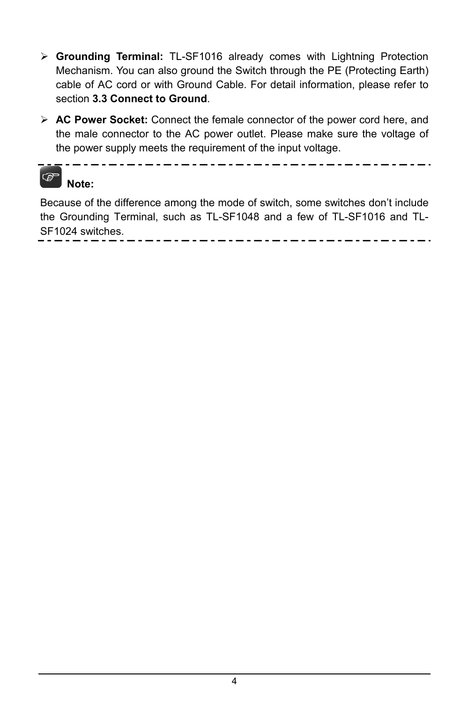- ¾ **Grounding Terminal:** TL-SF1016 already comes with Lightning Protection Mechanism. You can also ground the Switch through the PE (Protecting Earth) cable of AC cord or with Ground Cable. For detail information, please refer to section **3.3 Connect to Ground**.
- ¾ **AC Power Socket:** Connect the female connector of the power cord here, and the male connector to the AC power outlet. Please make sure the voltage of the power supply meets the requirement of the input voltage.

. \_ . \_ . \_ . \_ . \_ . \_ . \_ . \_ . .



Because of the difference among the mode of switch, some switches don't include the Grounding Terminal, such as TL-SF1048 and a few of TL-SF1016 and TL-SF1024 switches.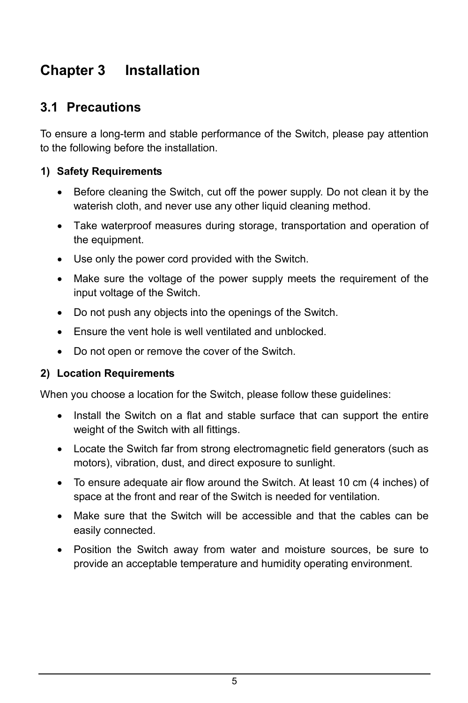#### <span id="page-8-1"></span><span id="page-8-0"></span>**Chapter 3 Installation**

#### <span id="page-8-2"></span>**3.1 Precautions**

To ensure a long-term and stable performance of the Switch, please pay attention to the following before the installation.

#### **1) Safety Requirements**

- Before cleaning the Switch, cut off the power supply. Do not clean it by the waterish cloth, and never use any other liquid cleaning method.
- Take waterproof measures during storage, transportation and operation of the equipment.
- Use only the power cord provided with the Switch.
- Make sure the voltage of the power supply meets the requirement of the input voltage of the Switch.
- Do not push any objects into the openings of the Switch.
- Ensure the vent hole is well ventilated and unblocked.
- Do not open or remove the cover of the Switch.

#### **2) Location Requirements**

When you choose a location for the Switch, please follow these guidelines:

- Install the Switch on a flat and stable surface that can support the entire weight of the Switch with all fittings.
- Locate the Switch far from strong electromagnetic field generators (such as motors), vibration, dust, and direct exposure to sunlight.
- To ensure adequate air flow around the Switch. At least 10 cm (4 inches) of space at the front and rear of the Switch is needed for ventilation.
- Make sure that the Switch will be accessible and that the cables can be easily connected.
- Position the Switch away from water and moisture sources, be sure to provide an acceptable temperature and humidity operating environment.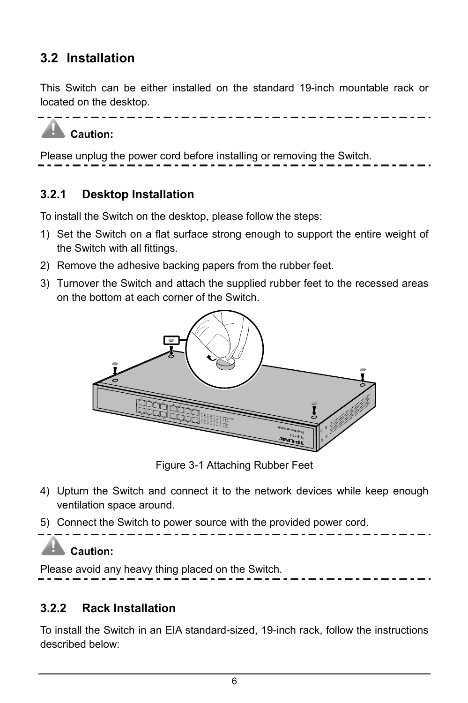#### <span id="page-9-1"></span><span id="page-9-0"></span>**3.2 Installation**

This Switch can be either installed on the standard 19-inch mountable rack or located on the desktop.



Please unplug the power cord before installing or removing the Switch.

#### <span id="page-9-2"></span>**3.2.1 Desktop Installation**

To install the Switch on the desktop, please follow the steps:

- 1) Set the Switch on a flat surface strong enough to support the entire weight of the Switch with all fittings.
- 2) Remove the adhesive backing papers from the rubber feet.
- 3) Turnover the Switch and attach the supplied rubber feet to the recessed areas on the bottom at each corner of the Switch.



Figure 3-1 Attaching Rubber Feet

- 4) Upturn the Switch and connect it to the network devices while keep enough ventilation space around.
- 5) Connect the Switch to power source with the provided power cord.

#### **Caution:**

Please avoid any heavy thing placed on the Switch.

#### <span id="page-9-3"></span>**3.2.2 Rack Installation**

To install the Switch in an EIA standard-sized, 19-inch rack, follow the instructions described below: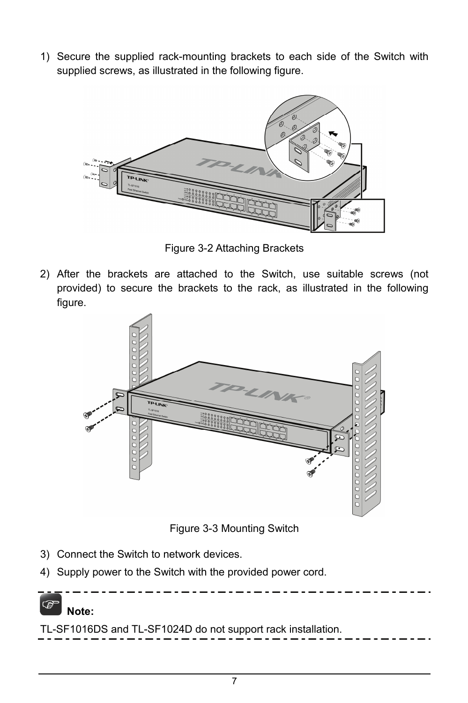1) Secure the supplied rack-mounting brackets to each side of the Switch with supplied screws, as illustrated in the following figure.



Figure 3-2 Attaching Brackets

2) After the brackets are attached to the Switch, use suitable screws (not provided) to secure the brackets to the rack, as illustrated in the following figure.



Figure 3-3 Mounting Switch

- 3) Connect the Switch to network devices.
- 4) Supply power to the Switch with the provided power cord.

## **Note:**

TL-SF1016DS and TL-SF1024D do not support rack installation.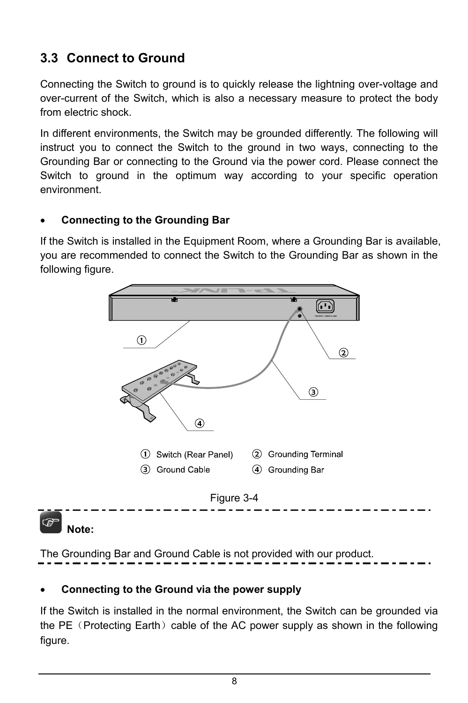#### <span id="page-11-1"></span><span id="page-11-0"></span>**3.3 Connect to Ground**

Connecting the Switch to ground is to quickly release the lightning over-voltage and over-current of the Switch, which is also a necessary measure to protect the body from electric shock.

In different environments, the Switch may be grounded differently. The following will instruct you to connect the Switch to the ground in two ways, connecting to the Grounding Bar or connecting to the Ground via the power cord. Please connect the Switch to ground in the optimum way according to your specific operation environment.

#### • **Connecting to the Grounding Bar**

If the Switch is installed in the Equipment Room, where a Grounding Bar is available, you are recommended to connect the Switch to the Grounding Bar as shown in the following figure.



The Grounding Bar and Ground Cable is not provided with our product.

#### • **Connecting to the Ground via the power supply**

If the Switch is installed in the normal environment, the Switch can be grounded via the PE (Protecting Earth) cable of the AC power supply as shown in the following figure.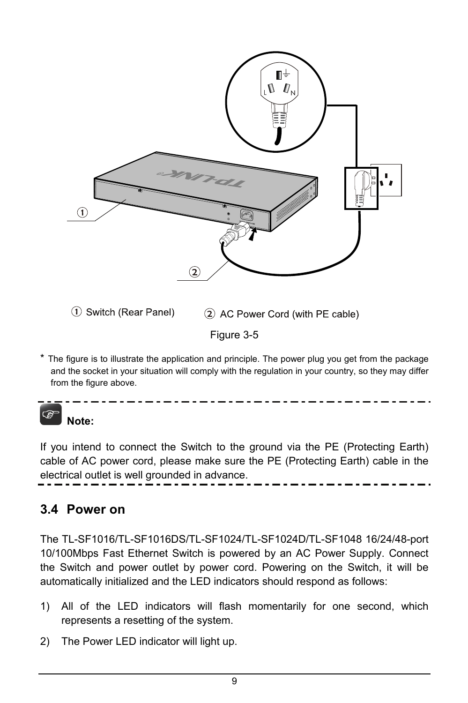<span id="page-12-0"></span>

The figure is to illustrate the application and principle. The power plug you get from the package and the socket in your situation will comply with the regulation in your country, so they may differ from the figure above.

### **Note:**

If you intend to connect the Switch to the ground via the PE (Protecting Earth) cable of AC power cord, please make sure the PE (Protecting Earth) cable in the electrical outlet is well grounded in advance.

#### <span id="page-12-1"></span>**3.4 Power on**

The TL-SF1016/TL-SF1016DS/TL-SF1024/TL-SF1024D/TL-SF1048 16/24/48-port 10/100Mbps Fast Ethernet Switch is powered by an AC Power Supply. Connect the Switch and power outlet by power cord. Powering on the Switch, it will be automatically initialized and the LED indicators should respond as follows:

- 1) All of the LED indicators will flash momentarily for one second, which represents a resetting of the system.
- 2) The Power LED indicator will light up.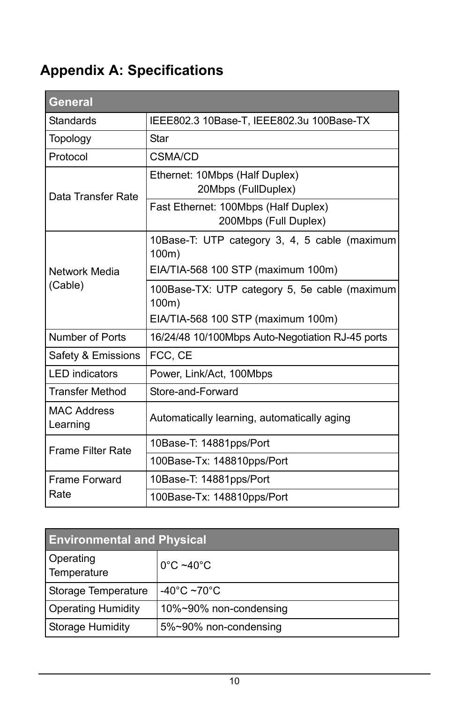### <span id="page-13-1"></span><span id="page-13-0"></span>**Appendix A: Specifications**

| <b>General</b>                 |                                                               |  |  |  |
|--------------------------------|---------------------------------------------------------------|--|--|--|
| Standards                      | IEEE802.3 10Base-T, IEEE802.3u 100Base-TX                     |  |  |  |
| Topology                       | Star                                                          |  |  |  |
| Protocol                       | CSMA/CD                                                       |  |  |  |
| Data Transfer Rate             | Ethernet: 10Mbps (Half Duplex)<br>20Mbps (FullDuplex)         |  |  |  |
|                                | Fast Ethernet: 100Mbps (Half Duplex)<br>200Mbps (Full Duplex) |  |  |  |
|                                | 10Base-T: UTP category 3, 4, 5 cable (maximum<br>100m)        |  |  |  |
| Network Media                  | EIA/TIA-568 100 STP (maximum 100m)                            |  |  |  |
| (Cable)                        | 100Base-TX: UTP category 5, 5e cable (maximum<br>100m)        |  |  |  |
|                                | EIA/TIA-568 100 STP (maximum 100m)                            |  |  |  |
| Number of Ports                | 16/24/48 10/100Mbps Auto-Negotiation RJ-45 ports              |  |  |  |
| Safety & Emissions             | FCC, CE                                                       |  |  |  |
| <b>LED</b> indicators          | Power, Link/Act, 100Mbps                                      |  |  |  |
| <b>Transfer Method</b>         | Store-and-Forward                                             |  |  |  |
| <b>MAC Address</b><br>Learning | Automatically learning, automatically aging                   |  |  |  |
| <b>Frame Filter Rate</b>       | 10Base-T: 14881pps/Port                                       |  |  |  |
|                                | 100Base-Tx: 148810pps/Port                                    |  |  |  |
| <b>Frame Forward</b>           | 10Base-T: 14881pps/Port                                       |  |  |  |
| Rate                           | 100Base-Tx: 148810pps/Port                                    |  |  |  |

| <b>Environmental and Physical</b> |                                   |  |  |
|-----------------------------------|-----------------------------------|--|--|
| Operating<br>Temperature          | $0^{\circ}$ C ~40 $^{\circ}$ C    |  |  |
| Storage Temperature               | -40 $^{\circ}$ C ~70 $^{\circ}$ C |  |  |
| <b>Operating Humidity</b>         | 10%~90% non-condensing            |  |  |
| Storage Humidity                  | 5%~90% non-condensing             |  |  |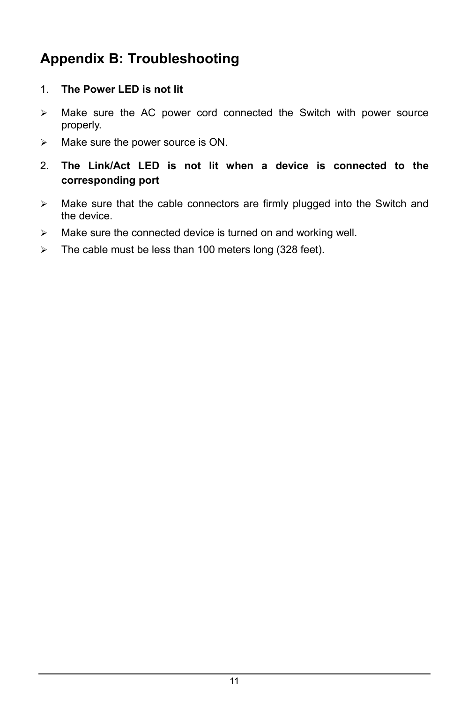#### <span id="page-14-1"></span><span id="page-14-0"></span>**Appendix B: Troubleshooting**

#### 1. **The Power LED is not lit**

- $\triangleright$  Make sure the AC power cord connected the Switch with power source properly.
- $\triangleright$  Make sure the power source is ON.
- 2. **The Link/Act LED is not lit when a device is connected to the corresponding port**
- $\triangleright$  Make sure that the cable connectors are firmly plugged into the Switch and the device.
- $\triangleright$  Make sure the connected device is turned on and working well.
- $\geq$  The cable must be less than 100 meters long (328 feet).